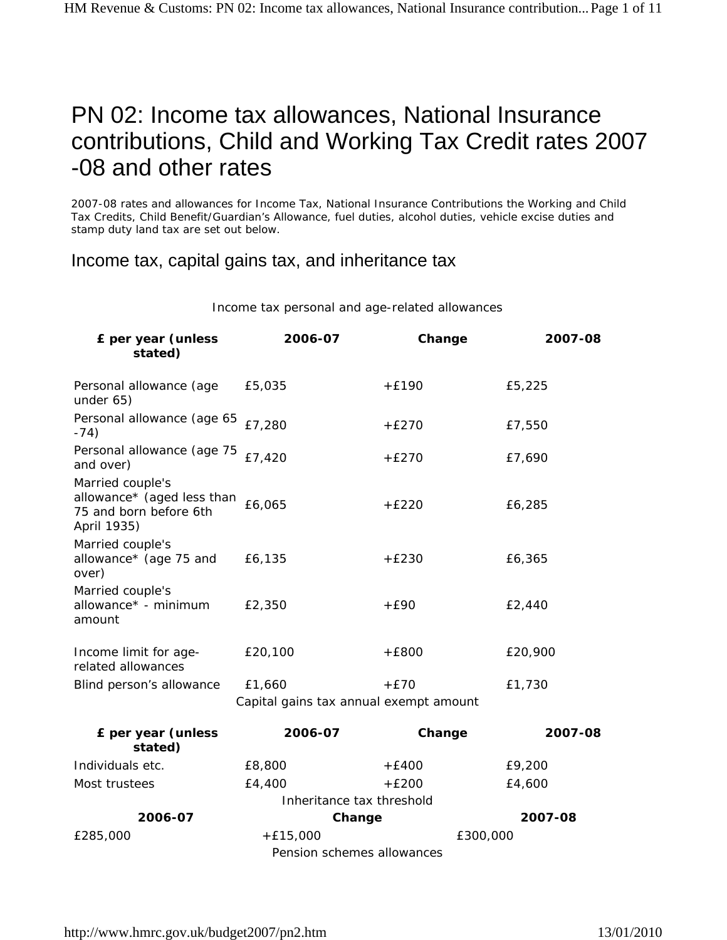# PN 02: Income tax allowances, National Insurance contributions, Child and Working Tax Credit rates 2007 -08 and other rates

2007-08 rates and allowances for Income Tax, National Insurance Contributions the Working and Child Tax Credits, Child Benefit/Guardian's Allowance, fuel duties, alcohol duties, vehicle excise duties and stamp duty land tax are set out below.

Income tax, capital gains tax, and inheritance tax

Income tax personal and age-related allowances

| £ per year (unless<br>stated)                                                           | 2006-07                                | Change   | 2007-08 |
|-----------------------------------------------------------------------------------------|----------------------------------------|----------|---------|
| Personal allowance (age<br>under 65)                                                    | £5,035                                 | $+£190$  | £5,225  |
| Personal allowance (age 65<br>$-74)$                                                    | £7,280                                 | $+E270$  | £7,550  |
| Personal allowance (age 75<br>and over)                                                 | £7,420                                 | $+E270$  | £7,690  |
| Married couple's<br>allowance* (aged less than<br>75 and born before 6th<br>April 1935) | £6,065                                 | $+£220$  | £6,285  |
| Married couple's<br>allowance* (age 75 and<br>over)                                     | £6,135                                 | $+£230$  | £6,365  |
| Married couple's<br>allowance* - minimum<br>amount                                      | £2,350                                 | $+E90$   | £2,440  |
| Income limit for age-<br>related allowances                                             | £20,100                                | $+E800$  | £20,900 |
| Blind person's allowance                                                                | £1,660                                 | $+E70$   | £1,730  |
|                                                                                         | Capital gains tax annual exempt amount |          |         |
| £ per year (unless<br>stated)                                                           | 2006-07                                | Change   | 2007-08 |
| Individuals etc.                                                                        | £8,800                                 | $+£400$  | £9,200  |
| Most trustees                                                                           | £4,400                                 | $+£200$  | £4,600  |
|                                                                                         | Inheritance tax threshold              |          |         |
| 2006-07                                                                                 | Change                                 |          | 2007-08 |
| £285,000                                                                                | $+£15,000$                             | £300,000 |         |
| Pension schemes allowances                                                              |                                        |          |         |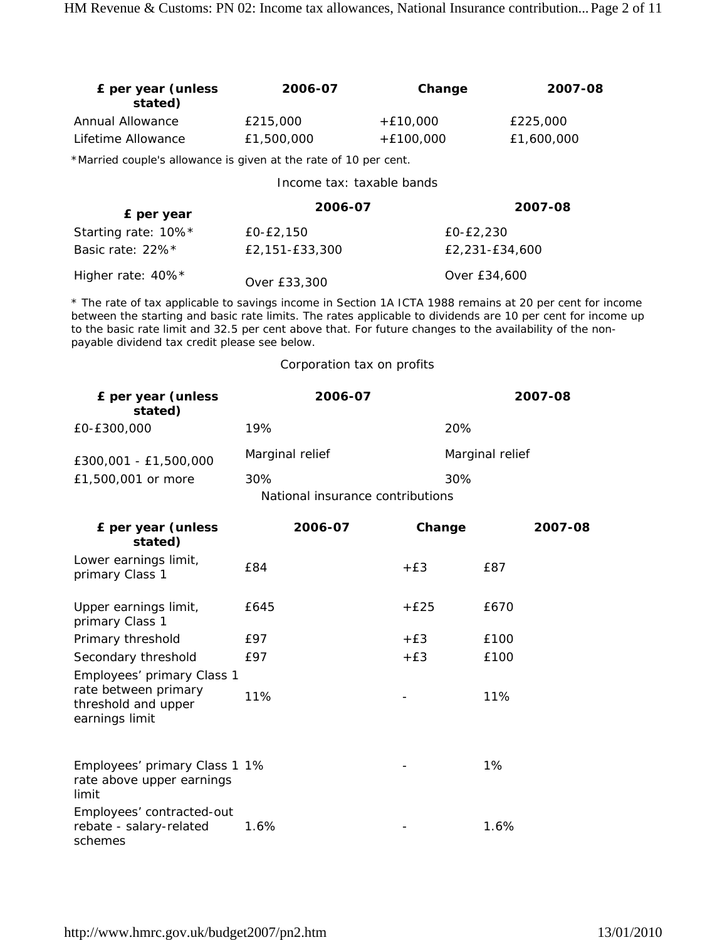| £ per year (unless<br>stated)                                                                                                                                                                                                                                                                                                                                                        | 2006-07                          | Change      | 2007-08         |
|--------------------------------------------------------------------------------------------------------------------------------------------------------------------------------------------------------------------------------------------------------------------------------------------------------------------------------------------------------------------------------------|----------------------------------|-------------|-----------------|
| Annual Allowance                                                                                                                                                                                                                                                                                                                                                                     | £215,000                         | $+£10,000$  | £225,000        |
| Lifetime Allowance                                                                                                                                                                                                                                                                                                                                                                   | £1,500,000                       | $+£100,000$ | £1,600,000      |
| *Married couple's allowance is given at the rate of 10 per cent.                                                                                                                                                                                                                                                                                                                     |                                  |             |                 |
|                                                                                                                                                                                                                                                                                                                                                                                      | Income tax: taxable bands        |             |                 |
| £ per year                                                                                                                                                                                                                                                                                                                                                                           | 2006-07                          |             | 2007-08         |
| Starting rate: 10%*                                                                                                                                                                                                                                                                                                                                                                  | £0-£2,150                        | £0-£2,230   |                 |
| Basic rate: 22%*                                                                                                                                                                                                                                                                                                                                                                     | £2,151-£33,300                   |             | £2,231-£34,600  |
| Higher rate: 40%*                                                                                                                                                                                                                                                                                                                                                                    | Over £33,300                     |             | Over £34,600    |
| * The rate of tax applicable to savings income in Section 1A ICTA 1988 remains at 20 per cent for income<br>between the starting and basic rate limits. The rates applicable to dividends are 10 per cent for income up<br>to the basic rate limit and 32.5 per cent above that. For future changes to the availability of the non-<br>payable dividend tax credit please see below. |                                  |             |                 |
|                                                                                                                                                                                                                                                                                                                                                                                      | Corporation tax on profits       |             |                 |
| £ per year (unless<br>stated)                                                                                                                                                                                                                                                                                                                                                        | 2006-07                          |             | 2007-08         |
| £0-£300,000                                                                                                                                                                                                                                                                                                                                                                          | 19%                              | 20%         |                 |
| £300,001 - £1,500,000                                                                                                                                                                                                                                                                                                                                                                | Marginal relief                  |             | Marginal relief |
| £1,500,001 or more                                                                                                                                                                                                                                                                                                                                                                   | 30%                              | 30%         |                 |
|                                                                                                                                                                                                                                                                                                                                                                                      | National insurance contributions |             |                 |
| £ per year (unless<br>stated)                                                                                                                                                                                                                                                                                                                                                        | 2006-07                          | Change      | 2007-08         |
| Lower earnings limit,<br>primary Class 1                                                                                                                                                                                                                                                                                                                                             | £84                              | $+E3$       | £87             |
| Upper earnings limit,<br>primary Class 1                                                                                                                                                                                                                                                                                                                                             | £645                             | $+£25$      | £670            |
| Primary threshold                                                                                                                                                                                                                                                                                                                                                                    | £97                              | $+E3$       | £100            |
| Secondary threshold                                                                                                                                                                                                                                                                                                                                                                  | £97                              | $+E3$       | £100            |
| Employees' primary Class 1<br>rate between primary<br>threshold and upper                                                                                                                                                                                                                                                                                                            | 11%                              |             | 11%             |
| earnings limit                                                                                                                                                                                                                                                                                                                                                                       |                                  |             |                 |
| Employees' primary Class 1 1%<br>rate above upper earnings<br>limit                                                                                                                                                                                                                                                                                                                  |                                  |             | 1%              |
| Employees' contracted-out<br>rebate - salary-related<br>schemes                                                                                                                                                                                                                                                                                                                      | 1.6%                             |             | 1.6%            |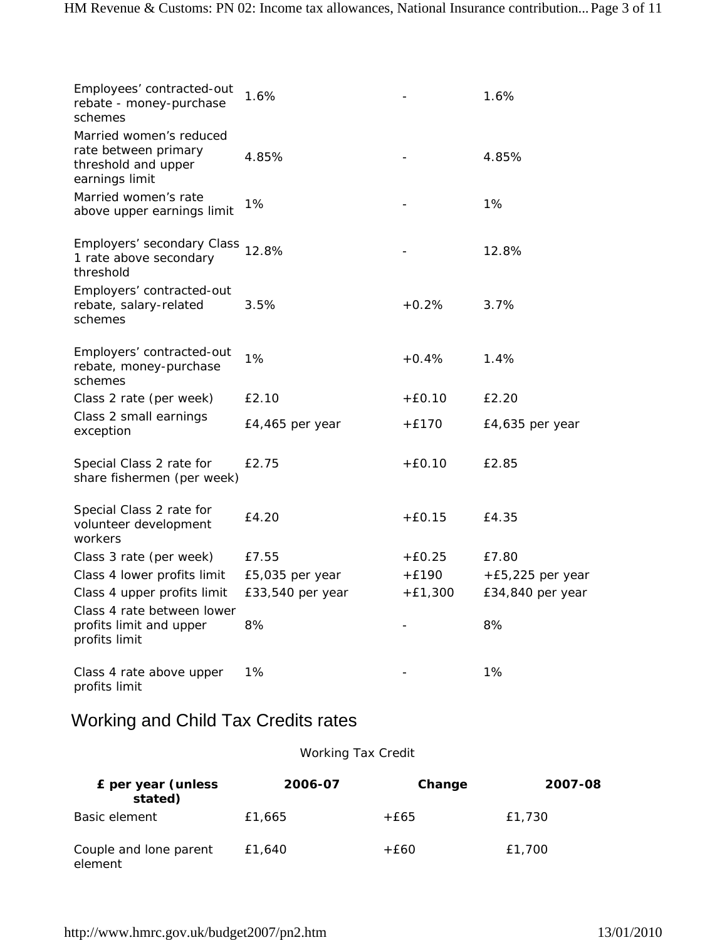| Employees' contracted-out<br>rebate - money-purchase<br>schemes                          | 1.6%              |           | 1.6%               |
|------------------------------------------------------------------------------------------|-------------------|-----------|--------------------|
| Married women's reduced<br>rate between primary<br>threshold and upper<br>earnings limit | 4.85%             |           | 4.85%              |
| Married women's rate<br>above upper earnings limit                                       | 1%                |           | 1%                 |
| Employers' secondary Class<br>1 rate above secondary<br>threshold                        | 12.8%             |           | 12.8%              |
| Employers' contracted-out<br>rebate, salary-related<br>schemes                           | 3.5%              | $+0.2%$   | 3.7%               |
| Employers' contracted-out<br>rebate, money-purchase<br>schemes                           | 1%                | $+0.4%$   | 1.4%               |
| Class 2 rate (per week)                                                                  | £2.10             | $+E0.10$  | £2.20              |
| Class 2 small earnings<br>exception                                                      | $E4,465$ per year | $+£170$   | £4,635 per year    |
| Special Class 2 rate for<br>share fishermen (per week)                                   | £2.75             | $+E0.10$  | £2.85              |
| Special Class 2 rate for<br>volunteer development<br>workers                             | £4.20             | $+E0.15$  | £4.35              |
| Class 3 rate (per week)                                                                  | £7.55             | $+E0.25$  | £7.80              |
| Class 4 lower profits limit                                                              | £5,035 per year   | $+E190$   | $+E5,225$ per year |
| Class 4 upper profits limit                                                              | £33,540 per year  | $+E1,300$ | £34,840 per year   |
| Class 4 rate between lower<br>profits limit and upper<br>profits limit                   | 8%                |           | 8%                 |
| Class 4 rate above upper<br>profits limit                                                | 1%                |           | 1%                 |

# Working and Child Tax Credits rates

#### Working Tax Credit

| £ per year (unless<br>stated)     | 2006-07 | Change | 2007-08 |
|-----------------------------------|---------|--------|---------|
| Basic element                     | £1,665  | +£65   | £1,730  |
| Couple and lone parent<br>element | £1,640  | +£60   | £1,700  |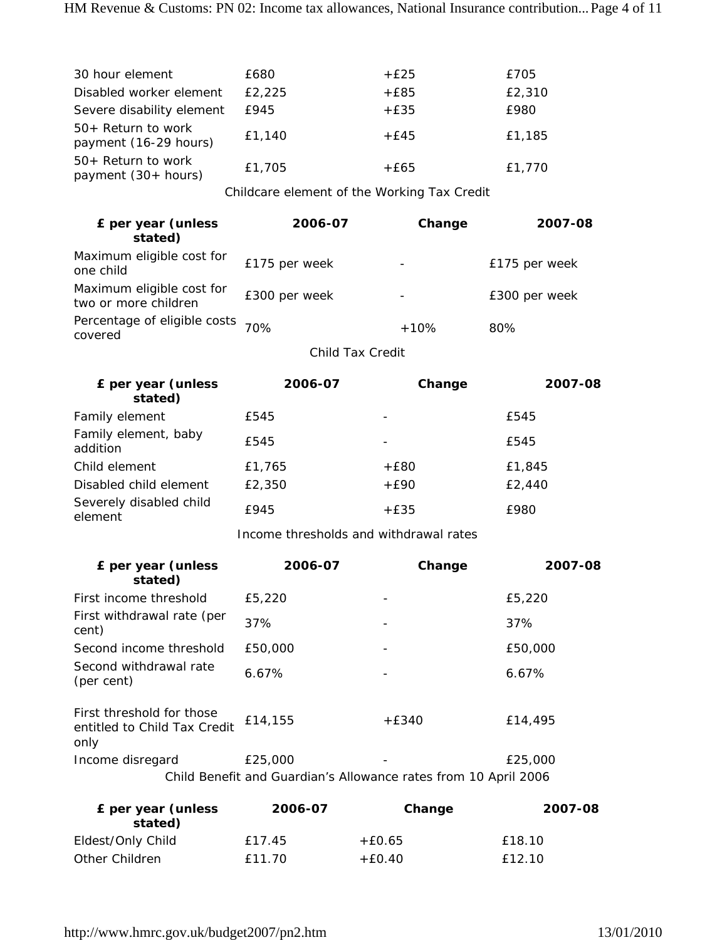| 30 hour element                                | £680   | $+£25$ | £705   |
|------------------------------------------------|--------|--------|--------|
| Disabled worker element                        | £2,225 | $+£85$ | £2,310 |
| Severe disability element                      | £945   | $+£35$ | £980   |
| $50+$ Return to work<br>payment (16-29 hours)  | £1,140 | $+£45$ | £1,185 |
| $50+$ Return to work<br>payment $(30 + hours)$ | £1,705 | $+£65$ | £1,770 |

Childcare element of the Working Tax Credit

| £ per year (unless<br>stated)                     | 2006-07       | Change | 2007-08       |
|---------------------------------------------------|---------------|--------|---------------|
| Maximum eligible cost for<br>one child            | £175 per week |        | £175 per week |
| Maximum eligible cost for<br>two or more children | £300 per week |        | £300 per week |
| Percentage of eligible costs 70%<br>covered       |               | $+10%$ | 80%           |

Child Tax Credit

| £ per year (unless<br>stated)      | 2006-07 | Change | 2007-08 |
|------------------------------------|---------|--------|---------|
| Family element                     | £545    |        | £545    |
| Family element, baby<br>addition   | £545    |        | £545    |
| Child element                      | £1,765  | $+£80$ | £1,845  |
| Disabled child element             | £2,350  | $+E90$ | £2,440  |
| Severely disabled child<br>element | £945    | $+£35$ | £980    |

Income thresholds and withdrawal rates

| £ per year (unless<br>stated)                                     | 2006-07  | Change  | 2007-08 |
|-------------------------------------------------------------------|----------|---------|---------|
| First income threshold                                            | £5,220   |         | £5,220  |
| First withdrawal rate (per<br>cent)                               | 37%      |         | 37%     |
| Second income threshold                                           | £50,000  |         | £50,000 |
| Second withdrawal rate<br>(per cent)                              | $6.67\%$ |         | 6.67%   |
| First threshold for those<br>entitled to Child Tax Credit<br>only | £14,155  | $+£340$ | £14,495 |
| Income disregard                                                  | £25,000  |         | £25,000 |
| Child Benefit and Guardian's Allowance rates from 10 April 2006   |          |         |         |

| £ per year (unless<br>stated) | 2006-07 | Change   | 2007-08 |
|-------------------------------|---------|----------|---------|
| Eldest/Only Child             | f 17.45 | $+£0.65$ | £18.10  |
| Other Children                | £11.70  | $+E0.40$ | £12.10  |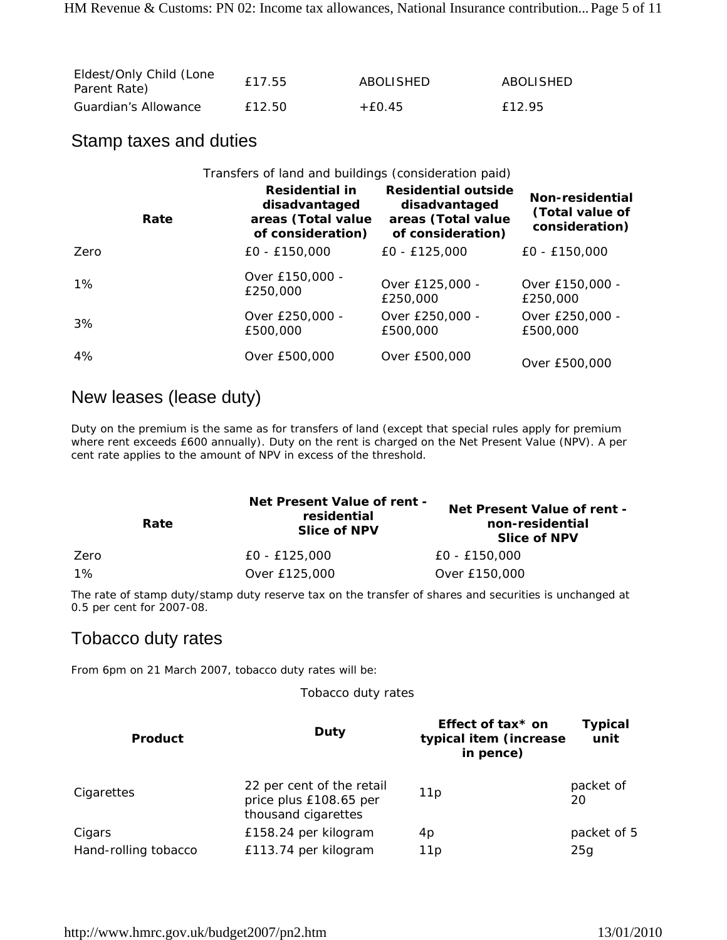| Eldest/Only Child (Lone<br>Parent Rate) | £17.55 | ABOLISHED | ABOLISHED |
|-----------------------------------------|--------|-----------|-----------|
| Guardian's Allowance                    | £12.50 | $+60.45$  | f 12.95   |

### Stamp taxes and duties

|      | Transfers of land and buildings (consideration paid)                       |                                                                                        |                                                      |
|------|----------------------------------------------------------------------------|----------------------------------------------------------------------------------------|------------------------------------------------------|
| Rate | Residential in<br>disadvantaged<br>areas (Total value<br>of consideration) | <b>Residential outside</b><br>disadvantaged<br>areas (Total value<br>of consideration) | Non-residential<br>(Total value of<br>consideration) |
| Zero | $EO - E150,000$                                                            | $E0 - E125,000$                                                                        | $E0 - E150.000$                                      |
| 1%   | Over £150,000 -<br>£250,000                                                | Over £125,000 -<br>£250,000                                                            | Over £150,000 -<br>£250,000                          |
| 3%   | Over £250,000 -<br>£500,000                                                | Over £250,000 -<br>£500,000                                                            | Over £250,000 -<br>£500,000                          |
| 4%   | Over £500,000                                                              | Over £500,000                                                                          | Over £500,000                                        |

## New leases (lease duty)

Duty on the premium is the same as for transfers of land (except that special rules apply for premium where rent exceeds £600 annually). Duty on the rent is charged on the Net Present Value (NPV). A per cent rate applies to the amount of NPV in excess of the threshold.

|      | Rate | Net Present Value of rent -<br>residential<br><b>Slice of NPV</b> | Net Present Value of rent -<br>non-residential<br><b>Slice of NPV</b> |
|------|------|-------------------------------------------------------------------|-----------------------------------------------------------------------|
| Zero |      | £0 - £125,000                                                     | £0 - £150,000                                                         |
| 1%   |      | Over £125,000                                                     | Over £150,000                                                         |

The rate of stamp duty/stamp duty reserve tax on the transfer of shares and securities is unchanged at 0.5 per cent for 2007-08.

# Tobacco duty rates

From 6pm on 21 March 2007, tobacco duty rates will be:

Tobacco duty rates

| <b>Product</b>       | Duty                                                                       | Effect of tax* on<br>typical item (increase<br>in pence) | <b>Typical</b><br>unit |  |
|----------------------|----------------------------------------------------------------------------|----------------------------------------------------------|------------------------|--|
| Cigarettes           | 22 per cent of the retail<br>price plus £108.65 per<br>thousand cigarettes | 11p                                                      | packet of<br>20        |  |
| Cigars               | £158.24 per kilogram                                                       | 4p                                                       | packet of 5            |  |
| Hand-rolling tobacco | £113.74 per kilogram                                                       | 11p                                                      | 25g                    |  |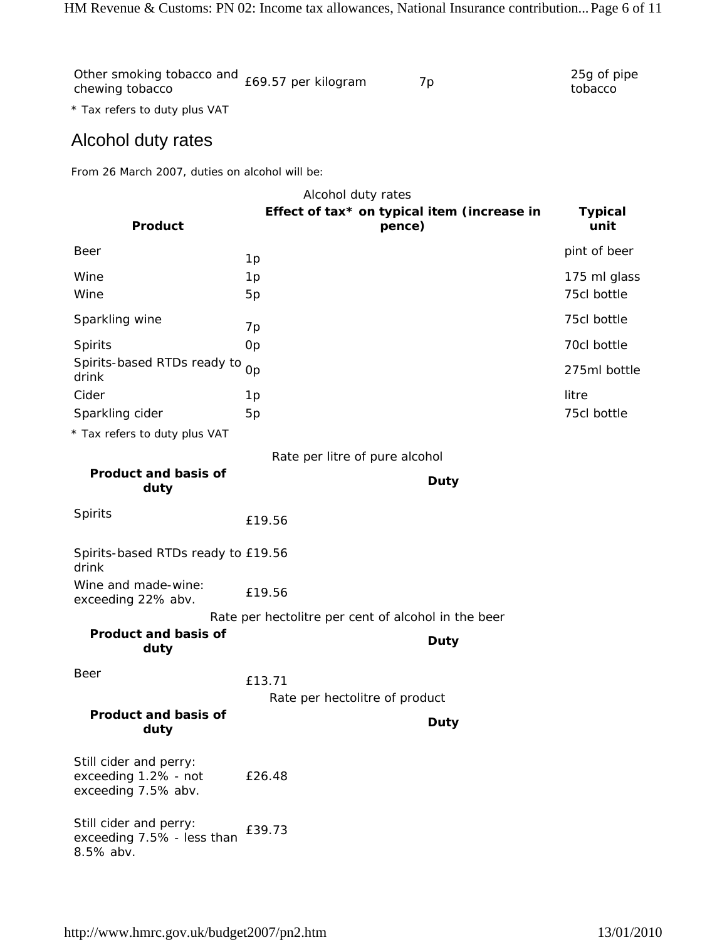| other smoking tobacco and £69.57 per kilogram<br>chewing tobacco |  | 25g of pipe<br>tobacco |
|------------------------------------------------------------------|--|------------------------|
|                                                                  |  |                        |

\* Tax refers to duty plus VAT

# Alcohol duty rates

From 26 March 2007, duties on alcohol will be:

|                                                                       | Alcohol duty rates                                    |             |                             |
|-----------------------------------------------------------------------|-------------------------------------------------------|-------------|-----------------------------|
| Product                                                               | Effect of tax* on typical item (increase in<br>pence) |             | <b>Typical</b><br>unit      |
| Beer                                                                  | 1p                                                    |             | pint of beer                |
| Wine<br>Wine                                                          | 1p<br>5p                                              |             | 175 ml glass<br>75cl bottle |
| Sparkling wine                                                        | 7p                                                    |             | 75cl bottle                 |
| Spirits                                                               | <b>Op</b>                                             |             | 70cl bottle                 |
| Spirits-based RTDs ready to<br>drink                                  | Op                                                    |             | 275ml bottle                |
| Cider                                                                 | 1p                                                    |             | litre                       |
| Sparkling cider                                                       | 5p                                                    |             | 75cl bottle                 |
| * Tax refers to duty plus VAT                                         |                                                       |             |                             |
|                                                                       | Rate per litre of pure alcohol                        |             |                             |
| <b>Product and basis of</b><br>duty                                   |                                                       | <b>Duty</b> |                             |
| Spirits                                                               | £19.56                                                |             |                             |
| Spirits-based RTDs ready to £19.56<br>drink                           |                                                       |             |                             |
| Wine and made-wine:<br>exceeding 22% abv.                             | £19.56                                                |             |                             |
|                                                                       | Rate per hectolitre per cent of alcohol in the beer   |             |                             |
| <b>Product and basis of</b><br>duty                                   |                                                       | Duty        |                             |
| <b>Beer</b>                                                           | £13.71<br>Rate per hectolitre of product              |             |                             |
| <b>Product and basis of</b><br>duty                                   |                                                       | Duty        |                             |
| Still cider and perry:<br>exceeding 1.2% - not<br>exceeding 7.5% abv. | £26.48                                                |             |                             |
| Still cider and perry:<br>exceeding 7.5% - less than<br>8.5% abv.     | £39.73                                                |             |                             |
|                                                                       |                                                       |             |                             |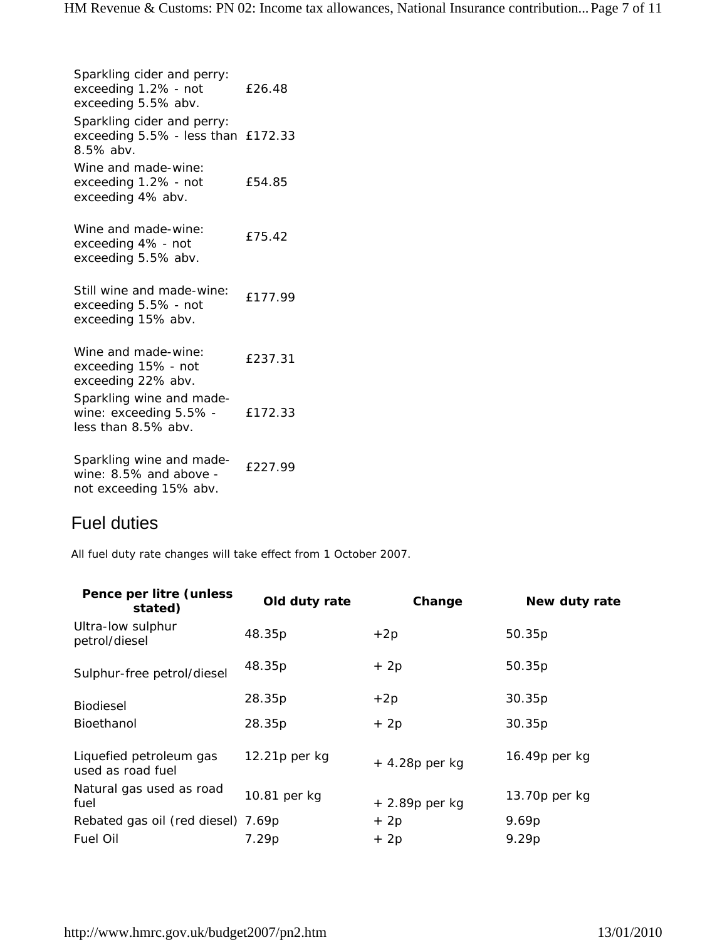Sparkling cider and perry: exceeding 1.2% - not exceeding 5.5% abv. £26.48 Sparkling cider and perry: exceeding 5.5% - less than £172.33 8.5% abv. Wine and made-wine: exceeding 1.2% - not exceeding 4% abv. £54.85 Wine and made-wine: exceeding 4% - not exceeding 5.5% abv. £75.42 Still wine and made-wine: exceeding 5.5% - not exceeding 15% abv. £177.99 Wine and made-wine: exceeding 15% - not exceeding 22% abv. £237.31 Sparkling wine and madewine: exceeding 5.5% less than 8.5% abv. £172.33 Sparkling wine and madewine: 8.5% and above not exceeding 15% abv. £227.99

### Fuel duties

All fuel duty rate changes will take effect from 1 October 2007.

| Pence per litre (unless<br>stated)           | Old duty rate   | Change          | New duty rate |
|----------------------------------------------|-----------------|-----------------|---------------|
| Ultra-low sulphur<br>petrol/diesel           | 48.35p          | $+2p$           | 50.35p        |
| Sulphur-free petrol/diesel                   | 48.35p          | $+2p$           | 50.35p        |
| <b>Biodiesel</b>                             | 28.35p          | $+2p$           | 30.35p        |
| Bioethanol                                   | 28.35p          | $+2p$           | 30.35p        |
| Liquefied petroleum gas<br>used as road fuel | $12.21p$ per kg | $+4.28p$ per kg | 16.49p per kg |
| Natural gas used as road<br>fuel             | 10.81 per kg    | $+2.89p$ per kg | 13.70p per kg |
| Rebated gas oil (red diesel) 7.69p           |                 | $+2p$           | 9.69p         |
| Fuel Oil                                     | 7.29p           | $+2p$           | 9.29p         |
|                                              |                 |                 |               |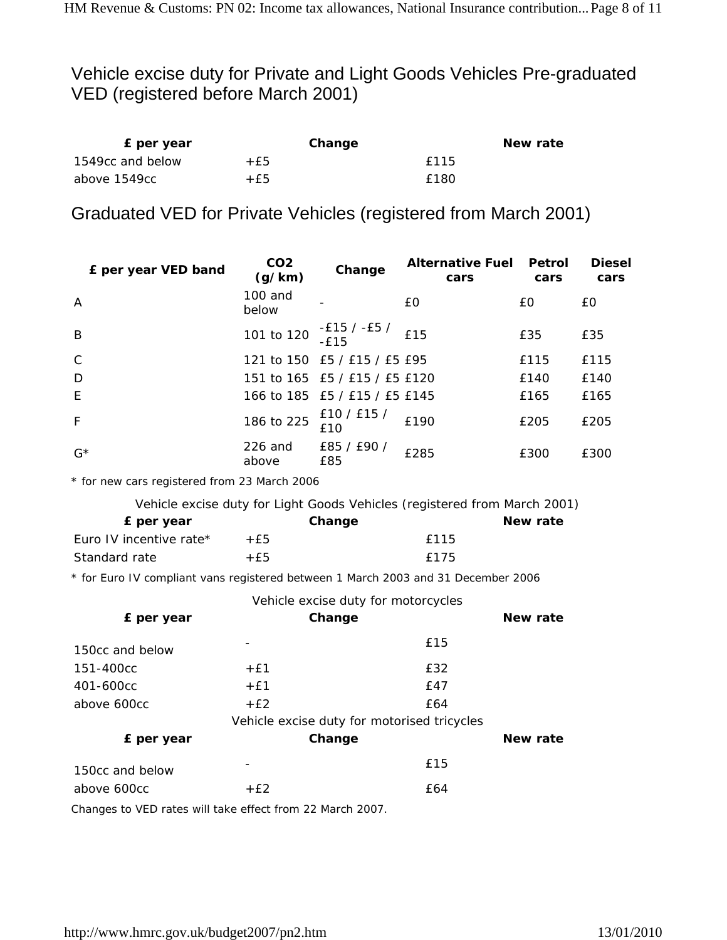# Vehicle excise duty for Private and Light Goods Vehicles Pre-graduated VED (registered before March 2001)

| E per year       |     | Change | New rate |
|------------------|-----|--------|----------|
| 1549cc and below | +£5 | f115   |          |
| above 1549cc     | +f5 | £180   |          |

# Graduated VED for Private Vehicles (registered from March 2001)

| £ per year VED band | CO <sub>2</sub><br>(g/km) | Change                                      | <b>Alternative Fuel</b><br>cars | <b>Petrol</b><br>cars | <b>Diesel</b><br>cars |
|---------------------|---------------------------|---------------------------------------------|---------------------------------|-----------------------|-----------------------|
| $\overline{A}$      | 100 and<br>below          |                                             | £0                              | £0                    | £0                    |
| B                   |                           | 101 to 120 $-E15 / -E5 /$<br>-£15           | £15                             | £35                   | £35                   |
| $\mathsf{C}$        |                           | 121 to 150 £5 / £15 / £5 £95                |                                 | £115                  | £115                  |
| D                   |                           | 151 to 165 £5 / £15 / £5 £120               |                                 | £140                  | £140                  |
| E                   |                           | 166 to 185 £5 / £15 / £5 £145               |                                 | £165                  | £165                  |
| F                   |                           | 186 to 225 $\frac{£10}{225}$ / £15 /<br>£10 | £190                            | £205                  | £205                  |
| $G^*$               | 226 and<br>above          | £85 / £90 /<br>£85                          | £285                            | £300                  | £300                  |

\* for new cars registered from 23 March 2006

| Vehicle excise duty for Light Goods Vehicles (registered from March 2001) |  |  |
|---------------------------------------------------------------------------|--|--|
|                                                                           |  |  |

| £ per year              |        | Change | New rate |
|-------------------------|--------|--------|----------|
| Euro IV incentive rate* | $+$ f5 | f115   |          |
| Standard rate           | +£5    | f175   |          |

\* for Euro IV compliant vans registered between 1 March 2003 and 31 December 2006

| Vehicle excise duty for motorcycles |  |
|-------------------------------------|--|
|-------------------------------------|--|

| Change | New rate                                    |
|--------|---------------------------------------------|
|        | £15                                         |
| $+E1$  | £32                                         |
| $+£1$  | £47                                         |
| $+E2$  | £64                                         |
|        |                                             |
| Change | New rate                                    |
| -      | £15                                         |
| $+E2$  | £64                                         |
|        | Vehicle excise duty for motorised tricycles |

Changes to VED rates will take effect from 22 March 2007.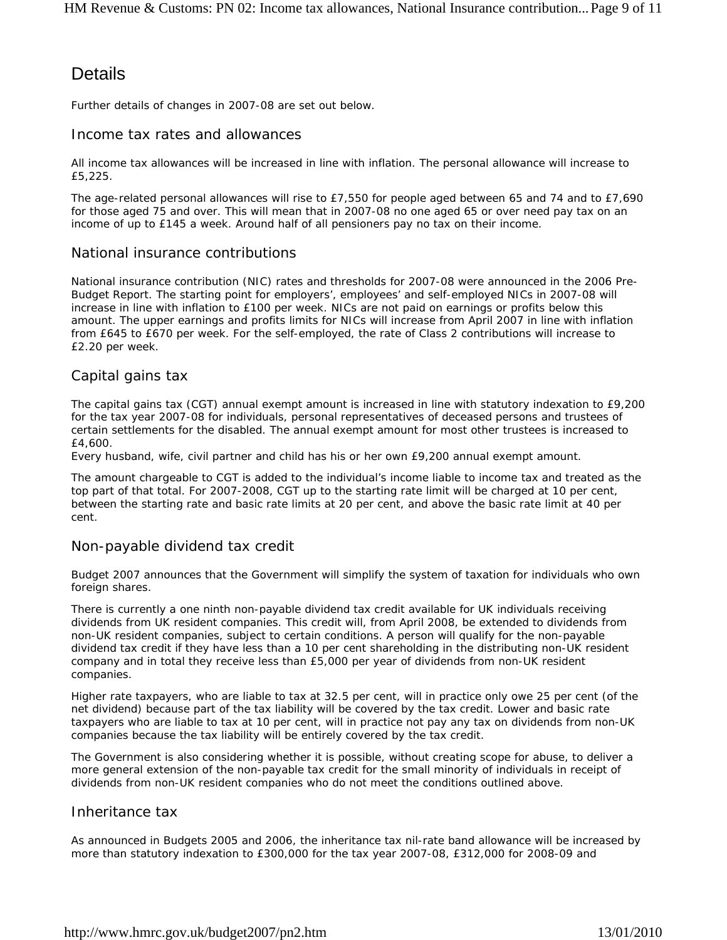# **Details**

Further details of changes in 2007-08 are set out below.

#### Income tax rates and allowances

All income tax allowances will be increased in line with inflation. The personal allowance will increase to £5,225.

The age-related personal allowances will rise to £7,550 for people aged between 65 and 74 and to £7,690 for those aged 75 and over. This will mean that in 2007-08 no one aged 65 or over need pay tax on an income of up to £145 a week. Around half of all pensioners pay no tax on their income.

#### National insurance contributions

National insurance contribution (NIC) rates and thresholds for 2007-08 were announced in the 2006 Pre-Budget Report. The starting point for employers', employees' and self-employed NICs in 2007-08 will increase in line with inflation to £100 per week. NICs are not paid on earnings or profits below this amount. The upper earnings and profits limits for NICs will increase from April 2007 in line with inflation from £645 to £670 per week. For the self-employed, the rate of Class 2 contributions will increase to £2.20 per week.

#### Capital gains tax

The capital gains tax (CGT) annual exempt amount is increased in line with statutory indexation to £9,200 for the tax year 2007-08 for individuals, personal representatives of deceased persons and trustees of certain settlements for the disabled. The annual exempt amount for most other trustees is increased to £4,600.

Every husband, wife, civil partner and child has his or her own £9,200 annual exempt amount.

The amount chargeable to CGT is added to the individual's income liable to income tax and treated as the top part of that total. For 2007-2008, CGT up to the starting rate limit will be charged at 10 per cent, between the starting rate and basic rate limits at 20 per cent, and above the basic rate limit at 40 per cent.

#### Non-payable dividend tax credit

Budget 2007 announces that the Government will simplify the system of taxation for individuals who own foreign shares.

There is currently a one ninth non-payable dividend tax credit available for UK individuals receiving dividends from UK resident companies. This credit will, from April 2008, be extended to dividends from non-UK resident companies, subject to certain conditions. A person will qualify for the non-payable dividend tax credit if they have less than a 10 per cent shareholding in the distributing non-UK resident company and in total they receive less than £5,000 per year of dividends from non-UK resident companies.

Higher rate taxpayers, who are liable to tax at 32.5 per cent, will in practice only owe 25 per cent (of the net dividend) because part of the tax liability will be covered by the tax credit. Lower and basic rate taxpayers who are liable to tax at 10 per cent, will in practice not pay any tax on dividends from non-UK companies because the tax liability will be entirely covered by the tax credit.

The Government is also considering whether it is possible, without creating scope for abuse, to deliver a more general extension of the non-payable tax credit for the small minority of individuals in receipt of dividends from non-UK resident companies who do not meet the conditions outlined above.

#### Inheritance tax

As announced in Budgets 2005 and 2006, the inheritance tax nil-rate band allowance will be increased by more than statutory indexation to £300,000 for the tax year 2007-08, £312,000 for 2008-09 and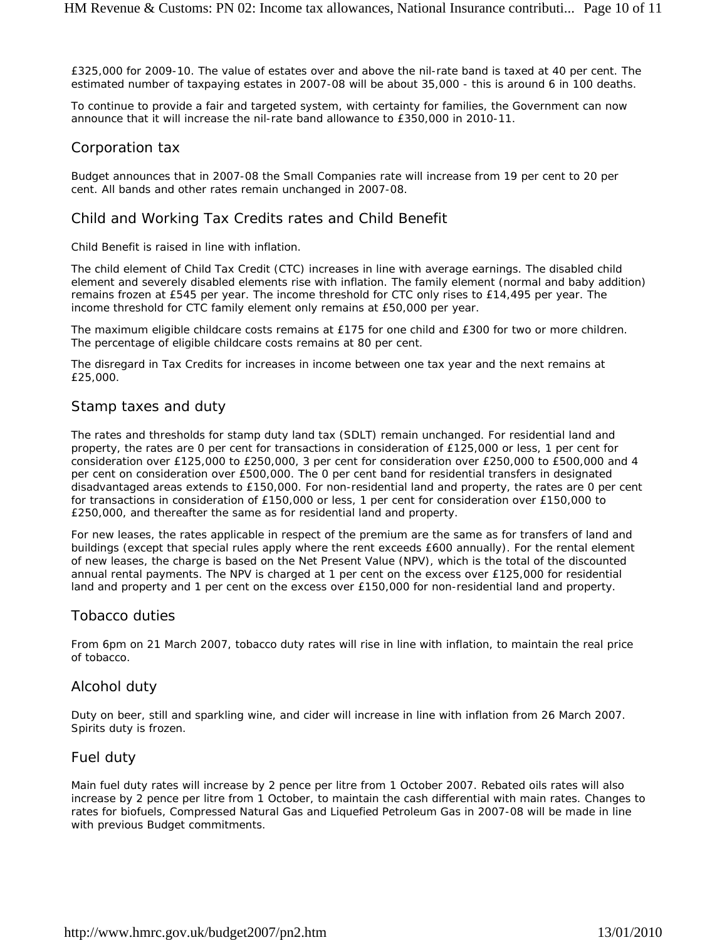£325,000 for 2009-10. The value of estates over and above the nil-rate band is taxed at 40 per cent. The estimated number of taxpaying estates in 2007-08 will be about 35,000 - this is around 6 in 100 deaths.

To continue to provide a fair and targeted system, with certainty for families, the Government can now announce that it will increase the nil-rate band allowance to £350,000 in 2010-11.

#### Corporation tax

Budget announces that in 2007-08 the Small Companies rate will increase from 19 per cent to 20 per cent. All bands and other rates remain unchanged in 2007-08.

#### Child and Working Tax Credits rates and Child Benefit

Child Benefit is raised in line with inflation.

The child element of Child Tax Credit (CTC) increases in line with average earnings. The disabled child element and severely disabled elements rise with inflation. The family element (normal and baby addition) remains frozen at £545 per year. The income threshold for CTC only rises to £14,495 per year. The income threshold for CTC family element only remains at £50,000 per year.

The maximum eligible childcare costs remains at £175 for one child and £300 for two or more children. The percentage of eligible childcare costs remains at 80 per cent.

The disregard in Tax Credits for increases in income between one tax year and the next remains at £25,000.

#### Stamp taxes and duty

The rates and thresholds for stamp duty land tax (SDLT) remain unchanged. For residential land and property, the rates are 0 per cent for transactions in consideration of £125,000 or less, 1 per cent for consideration over £125,000 to £250,000, 3 per cent for consideration over £250,000 to £500,000 and 4 per cent on consideration over £500,000. The 0 per cent band for residential transfers in designated disadvantaged areas extends to £150,000. For non-residential land and property, the rates are 0 per cent for transactions in consideration of £150,000 or less, 1 per cent for consideration over £150,000 to £250,000, and thereafter the same as for residential land and property.

For new leases, the rates applicable in respect of the premium are the same as for transfers of land and buildings (except that special rules apply where the rent exceeds £600 annually). For the rental element of new leases, the charge is based on the Net Present Value (NPV), which is the total of the discounted annual rental payments. The NPV is charged at 1 per cent on the excess over £125,000 for residential land and property and 1 per cent on the excess over £150,000 for non-residential land and property.

#### Tobacco duties

From 6pm on 21 March 2007, tobacco duty rates will rise in line with inflation, to maintain the real price of tobacco.

#### Alcohol duty

Duty on beer, still and sparkling wine, and cider will increase in line with inflation from 26 March 2007. Spirits duty is frozen.

#### Fuel duty

Main fuel duty rates will increase by 2 pence per litre from 1 October 2007. Rebated oils rates will also increase by 2 pence per litre from 1 October, to maintain the cash differential with main rates. Changes to rates for biofuels, Compressed Natural Gas and Liquefied Petroleum Gas in 2007-08 will be made in line with previous Budget commitments.